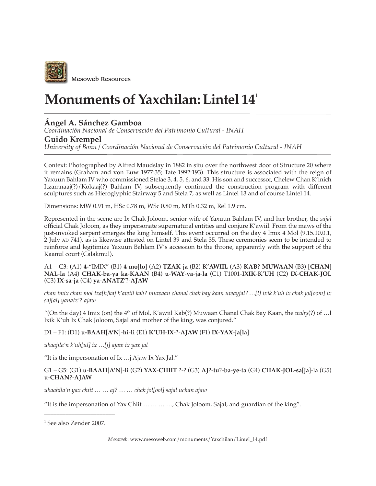

# **Monuments of Yaxchilan: Lintel 14**<sup>1</sup>

## **Ángel A. Sánchez Gamboa**

*Coordinación Nacional de Conservación del Patrimonio Cultural - INAH*

### **Guido Krempel**

*University of Bonn / Coordinación Nacional de Conservación del Patrimonio Cultural - INAH*

Context: Photographed by Alfred Maudslay in 1882 in situ over the northwest door of Structure 20 where it remains (Graham and von Euw 1977:35; Tate 1992:193). This structure is associated with the reign of Yaxuun Bahlam IV who commissioned Stelae 3, 4, 5, 6, and 33. His son and successor, Chelew Chan K'inich Itzamnaaj(?)/Kokaaj(?) Bahlam IV, subsequently continued the construction program with different sculptures such as Hieroglyphic Stairway 5 and Stela 7, as well as Lintel 13 and of course Lintel 14.

Dimensions: MW 0.91 m, HSc 0.78 m, WSc 0.80 m, MTh 0.32 m, Rel 1.9 cm.

Represented in the scene are Ix Chak Joloom, senior wife of Yaxuun Bahlam IV, and her brother, the *sajal* official Chak Joloom, as they impersonate supernatural entities and conjure K'awiil. From the maws of the just-invoked serpent emerges the king himself. This event occurred on the day 4 Imix 4 Mol (9.15.10.0.1, 2 July AD 741), as is likewise attested on Lintel 39 and Stela 35. These ceremonies seem to be intended to reinforce and legitimize Yaxuun Bahlam IV's accession to the throne, apparently with the support of the Kaanul court (Calakmul).

A1 – C3: (A1) **4-**"IMIX" (B1) **4**-**mo**[**lo**] (A2) **TZAK**-**ja** (B2) **K'AWIIL** (A3) **KAB**?-**MUWAAN** (B3) [**CHAN**] **NAL**-**la** (A4) **CHAK**-**ba**-**ya ka**-**KAAN** (B4) **u**-**WAY**-**ya**-**ja**-**la** (C1) T1001-**IXIK**-**K'UH** (C2) **IX**-**CHAK**-**JOL** (C3) **IX**-**sa**-**ja** (C4) **ya**-**ANATZ'**?-**AJAW**

*chan imix chan mol tza[h]kaj k'awiil kab? muwaan chanal chak bay kaan uwayjal?…[l] ixik k'uh ix chak jol[oom] ix saj[al] yanatz'? ajaw*

"(On the day) 4 Imix (on) the 4th of Mol, K'awiil Kab(?) Muwaan Chanal Chak Bay Kaan, the *wahy*(?) of …l Ixik K'uh Ix Chak Joloom, Sajal and mother of the king, was conjured."

#### D1 – F1: (D1) **u-BAAH**[**A'N**]-**hi**-**li** (E1) **K'UH**-**IX**-?-**AJAW** (F1) **IX**-**YAX**-**ja**[**la**]

*ubaajila'n k'uh[ul] ix …[j] ajaw ix yax jal*

"It is the impersonation of Ix …j Ajaw Ix Yax Jal."

#### G1 – G5: (G1) **u**-**BAAH**[**A'N**]-**li** (G2) **YAX**-**CHIIT** ?-? (G3) **AJ**?-**tu**?-**ba**-**ye**-**ta** (G4) **CHAK**-**JOL-sa**[**ja**]-l**a** (G5) **u**-**CHAN**?-**AJAW**

*ubaahila'n yax chiit … … aj? … … chak jol[ool] sajal uchan ajaw*

"It is the impersonation of Yax Chiit … … … …, Chak Joloom, Sajal, and guardian of the king".

\_\_\_\_\_\_\_\_\_\_\_\_\_\_\_\_\_\_\_\_\_\_\_

<sup>1</sup> See also Zender 2007.